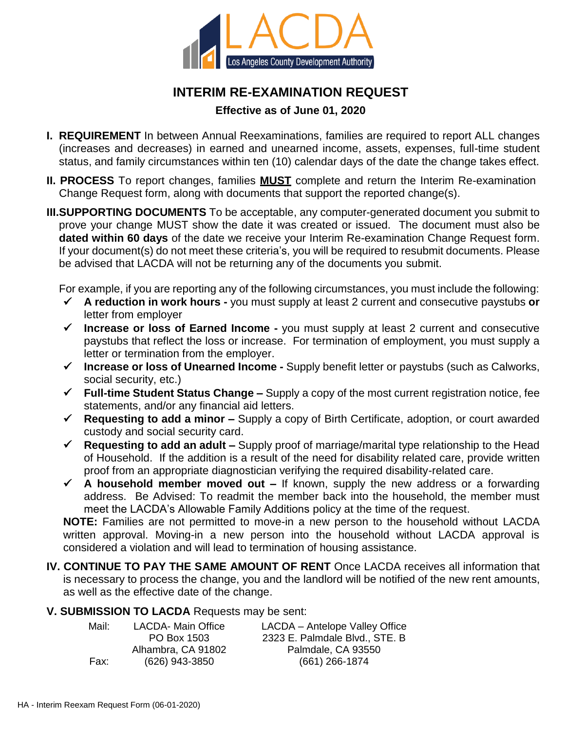

# **INTERIM RE-EXAMINATION REQUEST**

# **Effective as of June 01, 2020**

- **I. REQUIREMENT** In between Annual Reexaminations, families are required to report ALL changes (increases and decreases) in earned and unearned income, assets, expenses, full-time student status, and family circumstances within ten (10) calendar days of the date the change takes effect.
- **II. PROCESS** To report changes, families **MUST** complete and return the Interim Re-examination Change Request form, along with documents that support the reported change(s).
- **III.SUPPORTING DOCUMENTS** To be acceptable, any computer-generated document you submit to prove your change MUST show the date it was created or issued. The document must also be **dated within 60 days** of the date we receive your Interim Re-examination Change Request form. If your document(s) do not meet these criteria's, you will be required to resubmit documents. Please be advised that LACDA will not be returning any of the documents you submit.

For example, if you are reporting any of the following circumstances, you must include the following:

- **A reduction in work hours -** you must supply at least 2 current and consecutive paystubs **or**  letter from employer
- **Increase or loss of Earned Income -** you must supply at least 2 current and consecutive paystubs that reflect the loss or increase. For termination of employment, you must supply a letter or termination from the employer.
- **Increase or loss of Unearned Income -** Supply benefit letter or paystubs (such as Calworks, social security, etc.)
- **Full-time Student Status Change –** Supply a copy of the most current registration notice, fee statements, and/or any financial aid letters.
- **Requesting to add a minor –** Supply a copy of Birth Certificate, adoption, or court awarded custody and social security card.
- **Requesting to add an adult –** Supply proof of marriage/marital type relationship to the Head of Household. If the addition is a result of the need for disability related care, provide written proof from an appropriate diagnostician verifying the required disability-related care.
- **A household member moved out –** If known, supply the new address or a forwarding address. Be Advised: To readmit the member back into the household, the member must meet the LACDA's Allowable Family Additions policy at the time of the request.

**NOTE:** Families are not permitted to move-in a new person to the household without LACDA written approval. Moving-in a new person into the household without LACDA approval is considered a violation and will lead to termination of housing assistance.

**IV. CONTINUE TO PAY THE SAME AMOUNT OF RENT** Once LACDA receives all information that is necessary to process the change, you and the landlord will be notified of the new rent amounts, as well as the effective date of the change.

## **V. SUBMISSION TO LACDA** Requests may be sent: LACDA- Main Office

| Mail: |  |  |  |  |  |  |
|-------|--|--|--|--|--|--|
|       |  |  |  |  |  |  |
| Fax:  |  |  |  |  |  |  |

Alhambra, CA 91802 (626) 943-3850

PO Box 1503

LACDA – Antelope Valley Office 2323 E. Palmdale Blvd., STE. B Palmdale, CA 93550 (661) 266-1874